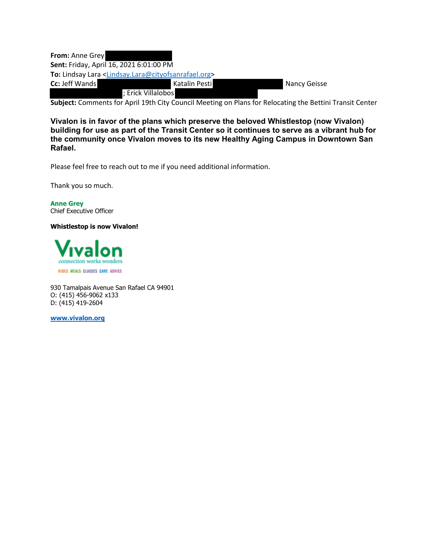| <b>From: Anne Grey</b>                  |                                                                                        |              |
|-----------------------------------------|----------------------------------------------------------------------------------------|--------------|
| Sent: Friday, April 16, 2021 6:01:00 PM |                                                                                        |              |
|                                         | To: Lindsay Lara <lindsay.lara@cityofsanrafael.org></lindsay.lara@cityofsanrafael.org> |              |
| <b>Cc: Jeff Wands</b>                   | Katalin Pesti                                                                          | Nancy Geisse |
|                                         | ; Erick Villalobos                                                                     |              |

**Subject:** Comments for April 19th City Council Meeting on Plans for Relocating the Bettini Transit Center

**Vivalon is in favor of the plans which preserve the beloved Whistlestop (now Vivalon) building for use as part of the Transit Center so it continues to serve as a vibrant hub for the community once Vivalon moves to its new Healthy Aging Campus in Downtown San Rafael.**

Please feel free to reach out to me if you need additional information.

Thank you so much.

**Anne Grey** Chief Executive Officer

**Whistlestop is now Vivalon!**



930 Tamalpais Avenue San Rafael CA 94901 O: (415) 456-9062 x133 D: (415) 419-2604

**www.vivalon.org**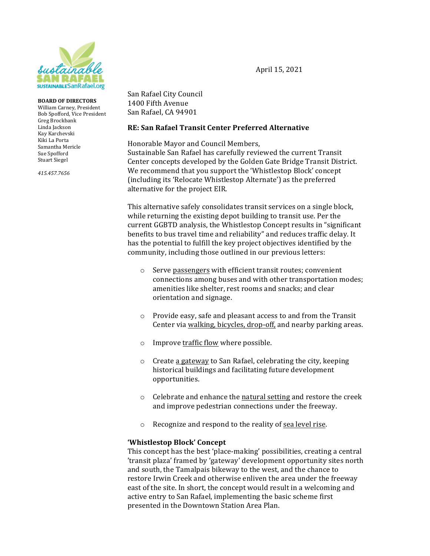

#### **BOARD OF DIRECTORS**

William Carney, President Bob Spofford, Vice President Greg Brockbank Linda Jackson Kay Karchevski Kiki La Porta Samantha Mericle Sue Spofford Stuart Siegel 

 *415.457.7656*

San Rafael City Council 1400 Fifth Avenue San Rafael, CA 94901

#### **RE: San Rafael Transit Center Preferred Alternative**

Honorable Mayor and Council Members, Sustainable San Rafael has carefully reviewed the current Transit Center concepts developed by the Golden Gate Bridge Transit District. We recommend that you support the 'Whistlestop Block' concept (including its 'Relocate Whistlestop Alternate') as the preferred alternative for the project EIR.

This alternative safely consolidates transit services on a single block, while returning the existing depot building to transit use. Per the current GGBTD analysis, the Whistlestop Concept results in "significant" benefits to bus travel time and reliability" and reduces traffic delay. It has the potential to fulfill the key project objectives identified by the community, including those outlined in our previous letters:

- $\circ$  Serve passengers with efficient transit routes; convenient connections among buses and with other transportation modes; amenities like shelter, rest rooms and snacks; and clear orientation and signage.
- $\circ$  Provide easy, safe and pleasant access to and from the Transit Center via walking, bicycles, drop-off, and nearby parking areas.
- $\circ$  Improve traffic flow where possible.
- $\circ$  Create a gateway to San Rafael, celebrating the city, keeping historical buildings and facilitating future development opportunities.
- $\circ$  Celebrate and enhance the natural setting and restore the creek and improve pedestrian connections under the freeway.
- o Recognize and respond to the reality of sea level rise.

### **'Whistlestop Block' Concept**

This concept has the best 'place-making' possibilities, creating a central 'transit plaza' framed by 'gateway' development opportunity sites north and south, the Tamalpais bikeway to the west, and the chance to restore Irwin Creek and otherwise enliven the area under the freeway east of the site. In short, the concept would result in a welcoming and active entry to San Rafael, implementing the basic scheme first presented in the Downtown Station Area Plan.

April 15, 2021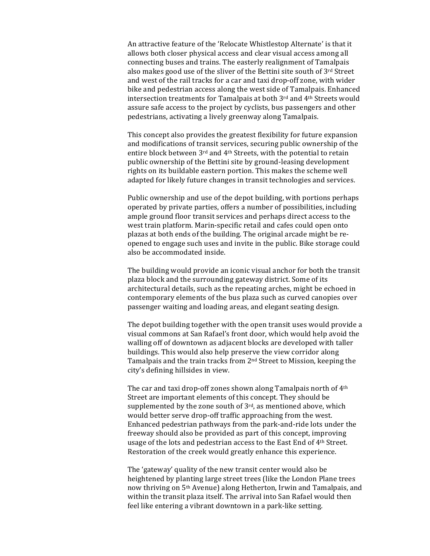An attractive feature of the 'Relocate Whistlestop Alternate' is that it allows both closer physical access and clear visual access among all connecting buses and trains. The easterly realignment of Tamalpais also makes good use of the sliver of the Bettini site south of  $3<sup>rd</sup>$  Street and west of the rail tracks for a car and taxi drop-off zone, with wider bike and pedestrian access along the west side of Tamalpais. Enhanced intersection treatments for Tamalpais at both 3rd and 4th Streets would assure safe access to the project by cyclists, bus passengers and other pedestrians, activating a lively greenway along Tamalpais.

This concept also provides the greatest flexibility for future expansion and modifications of transit services, securing public ownership of the entire block between 3<sup>rd</sup> and 4<sup>th</sup> Streets, with the potential to retain public ownership of the Bettini site by ground-leasing development rights on its buildable eastern portion. This makes the scheme well adapted for likely future changes in transit technologies and services.

Public ownership and use of the depot building, with portions perhaps operated by private parties, offers a number of possibilities, including ample ground floor transit services and perhaps direct access to the west train platform. Marin-specific retail and cafes could open onto plazas at both ends of the building. The original arcade might be reopened to engage such uses and invite in the public. Bike storage could also be accommodated inside.

The building would provide an iconic visual anchor for both the transit plaza block and the surrounding gateway district. Some of its architectural details, such as the repeating arches, might be echoed in contemporary elements of the bus plaza such as curved canopies over passenger waiting and loading areas, and elegant seating design.

The depot building together with the open transit uses would provide a visual commons at San Rafael's front door, which would help avoid the walling off of downtown as adjacent blocks are developed with taller buildings. This would also help preserve the view corridor along Tamalpais and the train tracks from  $2<sup>nd</sup>$  Street to Mission, keeping the city's defining hillsides in view.

The car and taxi drop-off zones shown along Tamalpais north of  $4<sup>th</sup>$ Street are important elements of this concept. They should be supplemented by the zone south of  $3<sup>rd</sup>$ , as mentioned above, which would better serve drop-off traffic approaching from the west. Enhanced pedestrian pathways from the park-and-ride lots under the freeway should also be provided as part of this concept, improving usage of the lots and pedestrian access to the East End of 4<sup>th</sup> Street. Restoration of the creek would greatly enhance this experience.

The 'gateway' quality of the new transit center would also be heightened by planting large street trees (like the London Plane trees now thriving on 5<sup>th</sup> Avenue) along Hetherton, Irwin and Tamalpais, and within the transit plaza itself. The arrival into San Rafael would then feel like entering a vibrant downtown in a park-like setting.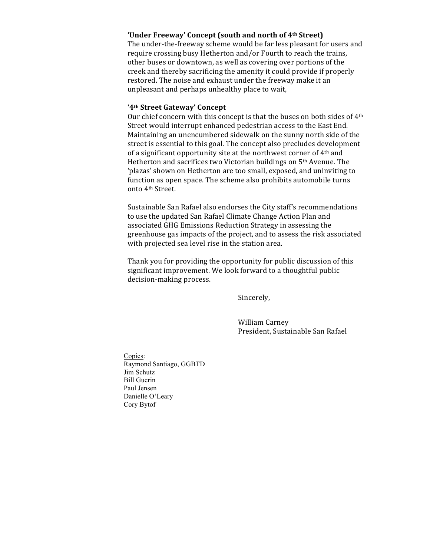### 'Under Freeway' Concept (south and north of 4<sup>th</sup> Street)

The under-the-freeway scheme would be far less pleasant for users and require crossing busy Hetherton and/or Fourth to reach the trains, other buses or downtown, as well as covering over portions of the creek and thereby sacrificing the amenity it could provide if properly restored. The noise and exhaust under the freeway make it an unpleasant and perhaps unhealthy place to wait,

#### **'4th Street Gateway' Concept**

Our chief concern with this concept is that the buses on both sides of 4<sup>th</sup> Street would interrupt enhanced pedestrian access to the East End. Maintaining an unencumbered sidewalk on the sunny north side of the street is essential to this goal. The concept also precludes development of a significant opportunity site at the northwest corner of  $4<sup>th</sup>$  and Hetherton and sacrifices two Victorian buildings on 5<sup>th</sup> Avenue. The 'plazas' shown on Hetherton are too small, exposed, and uninviting to function as open space. The scheme also prohibits automobile turns onto 4<sup>th</sup> Street.

Sustainable San Rafael also endorses the City staff's recommendations to use the updated San Rafael Climate Change Action Plan and associated GHG Emissions Reduction Strategy in assessing the greenhouse gas impacts of the project, and to assess the risk associated with projected sea level rise in the station area.

Thank you for providing the opportunity for public discussion of this significant improvement. We look forward to a thoughtful public decision-making process.

 Sincerely,

 William Carney President, Sustainable San Rafael

Copies: Raymond Santiago, GGBTD Jim Schutz Bill Guerin Paul Jensen Danielle O'Leary Cory Bytof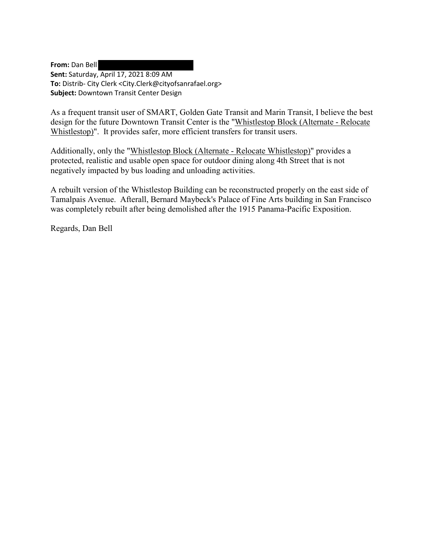**From:** Dan Bell **Sent:** Saturday, April 17, 2021 8:09 AM **To:** Distrib- City Clerk <City.Clerk@cityofsanrafael.org> **Subject:** Downtown Transit Center Design

As a frequent transit user of SMART, Golden Gate Transit and Marin Transit, I believe the best design for the future Downtown Transit Center is the "Whistlestop Block (Alternate - Relocate Whistlestop)". It provides safer, more efficient transfers for transit users.

Additionally, only the "Whistlestop Block (Alternate - Relocate Whistlestop)" provides a protected, realistic and usable open space for outdoor dining along 4th Street that is not negatively impacted by bus loading and unloading activities.

A rebuilt version of the Whistlestop Building can be reconstructed properly on the east side of Tamalpais Avenue. Afterall, Bernard Maybeck's Palace of Fine Arts building in San Francisco was completely rebuilt after being demolished after the 1915 Panama-Pacific Exposition.

Regards, Dan Bell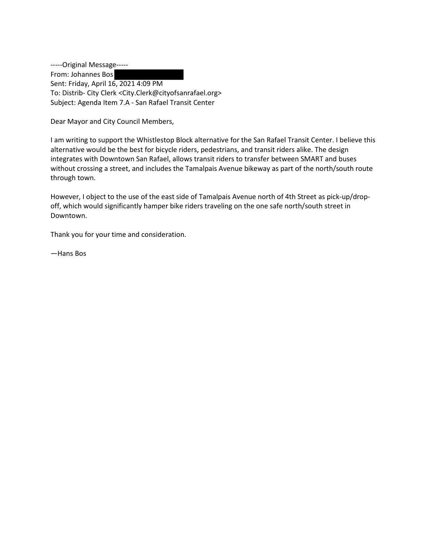-----Original Message----- From: Johannes Bos Sent: Friday, April 16, 2021 4:09 PM To: Distrib- City Clerk <City.Clerk@cityofsanrafael.org> Subject: Agenda Item 7.A - San Rafael Transit Center

Dear Mayor and City Council Members,

I am writing to support the Whistlestop Block alternative for the San Rafael Transit Center. I believe this alternative would be the best for bicycle riders, pedestrians, and transit riders alike. The design integrates with Downtown San Rafael, allows transit riders to transfer between SMART and buses without crossing a street, and includes the Tamalpais Avenue bikeway as part of the north/south route through town.

However, I object to the use of the east side of Tamalpais Avenue north of 4th Street as pick-up/dropoff, which would significantly hamper bike riders traveling on the one safe north/south street in Downtown.

Thank you for your time and consideration.

—Hans Bos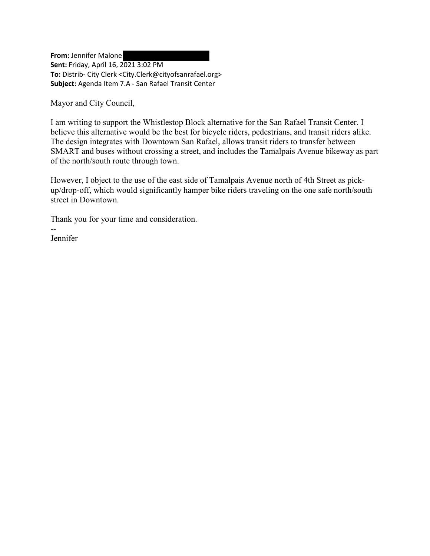**From:** Jennifer Malone **Sent:** Friday, April 16, 2021 3:02 PM **To:** Distrib- City Clerk <City.Clerk@cityofsanrafael.org> **Subject:** Agenda Item 7.A - San Rafael Transit Center

Mayor and City Council,

I am writing to support the Whistlestop Block alternative for the San Rafael Transit Center. I believe this alternative would be the best for bicycle riders, pedestrians, and transit riders alike. The design integrates with Downtown San Rafael, allows transit riders to transfer between SMART and buses without crossing a street, and includes the Tamalpais Avenue bikeway as part of the north/south route through town.

However, I object to the use of the east side of Tamalpais Avenue north of 4th Street as pickup/drop-off, which would significantly hamper bike riders traveling on the one safe north/south street in Downtown.

Thank you for your time and consideration.

-- Jennifer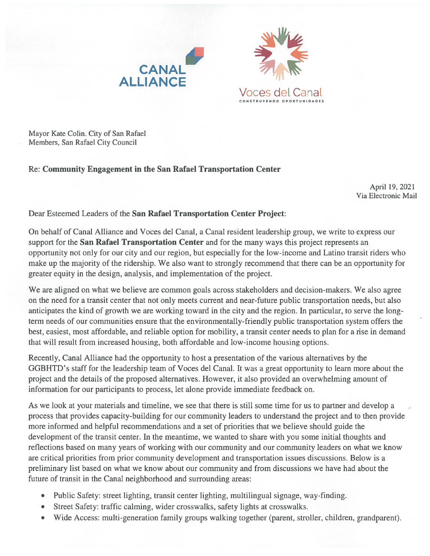



Mayor Kate Colin. City of San Rafael Members, San Rafael City Council

# Re: Community Engagement in the San Rafael Transportation Center

April 19, 2021 Via Electronic Mail

# Dear Esteemed Leaders of the San Rafael Transportation Center Project:

On behalf of Canal Alliance and Voces del Canal, a Canal resident leadership group, we write to express our support for the San Rafael Transportation Center and for the many ways this project represents an opportunity not only for our city and our region, but especially for the low-income and Latino transit riders who make up the majority of the ridership. We also want to strongly recommend that there can be an opportunity for greater equity in the design, analysis, and implementation of the project.

We are aligned on what we believe are common goals across stakeholders and decision-makers. We also agree on the need for a transit center that not only meets current and near-future public transportation needs, but also anticipates the kind of growth we are working toward in the city and the region. In particular, to serve the longterm needs of our communities ensure that the environmentally-friendly public transportation system offers the best, easiest, most affordable, and reliable option for mobility, a transit center needs to plan for a rise in demand that will result from increased housing, both affordable and low-income housing options.

Recently, Canal Alliance had the opportunity to host a presentation of the various alternatives by the GGBHTD's staff for the leadership team of Voces del Canal. It was a great opportunity to learn more about the project and the details of the proposed alternatives. However, it also provided an overwhelming amount of information for our participants to process, let alone provide immediate feedback on.

As we look at your materials and timeline, we see that there is still some time for us to partner and develop a process that provides capacity-building for our community leaders to understand the project and to then provide more informed and helpful recommendations and a set of priorities that we believe should guide the development of the transit center. In the meantime, we wanted to share with you some initial thoughts and reflections based on many years of working with our community and our community leaders on what we know are critical priorities from prior community development and transportation issues discussions. Below is a preliminary list based on what we know about our community and from discussions we have had about the future of transit in the Canal neighborhood and surrounding areas:

- Public Safety: street lighting, transit center lighting, multilingual signage, way-finding.
- Street Safety: traffic calming, wider crosswalks, safety lights at crosswalks.
- Wide Access: multi-generation family groups walking together (parent, stroller, children, grandparent).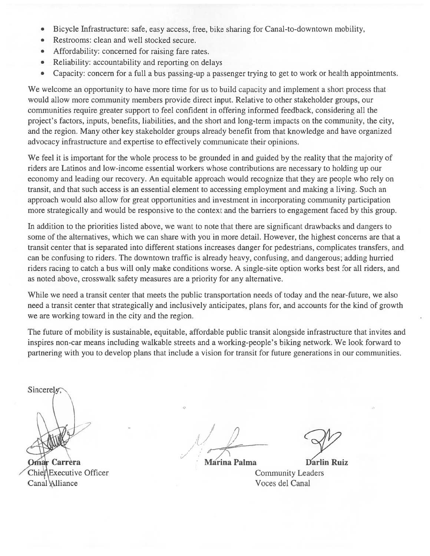- Bicycle Infrastructure: safe, easy access, free, bike sharing for Canal-to-downtown mobility,  $\bullet$
- Restrooms: clean and well stocked secure.  $\bullet$
- Affordability: concerned for raising fare rates.  $\bullet$
- Reliability: accountability and reporting on delays  $\bullet$
- Capacity: concern for a full a bus passing-up a passenger trying to get to work or health appointments.  $\bullet$

We welcome an opportunity to have more time for us to build capacity and implement a short process that would allow more community members provide direct input. Relative to other stakeholder groups, our communities require greater support to feel confident in offering informed feedback, considering all the project's factors, inputs, benefits, liabilities, and the short and long-term impacts on the community, the city, and the region. Many other key stakeholder groups already benefit from that knowledge and have organized advocacy infrastructure and expertise to effectively communicate their opinions.

We feel it is important for the whole process to be grounded in and guided by the reality that the majority of riders are Latinos and low-income essential workers whose contributions are necessary to holding up our economy and leading our recovery. An equitable approach would recognize that they are people who rely on transit, and that such access is an essential element to accessing employment and making a living. Such an approach would also allow for great opportunities and investment in incorporating community participation more strategically and would be responsive to the context and the barriers to engagement faced by this group.

In addition to the priorities listed above, we want to note that there are significant drawbacks and dangers to some of the alternatives, which we can share with you in more detail. However, the highest concerns are that a transit center that is separated into different stations increases danger for pedestrians, complicates transfers, and can be confusing to riders. The downtown traffic is already heavy, confusing, and dangerous; adding hurried riders racing to catch a bus will only make conditions worse. A single-site option works best for all riders, and as noted above, crosswalk safety measures are a priority for any alternative.

While we need a transit center that meets the public transportation needs of today and the near-future, we also need a transit center that strategically and inclusively anticipates, plans for, and accounts for the kind of growth we are working toward in the city and the region.

The future of mobility is sustainable, equitable, affordable public transit alongside infrastructure that invites and inspires non-car means including walkable streets and a working-people's biking network. We look forward to partnering with you to develop plans that include a vision for transit for future generations in our communities.

Sincerely

**Omar Carrera** ChieflExecutive Officer **Canal Alliance** 

**Marina Palma** 

**Darlin Ruiz Community Leaders** Voces del Canal